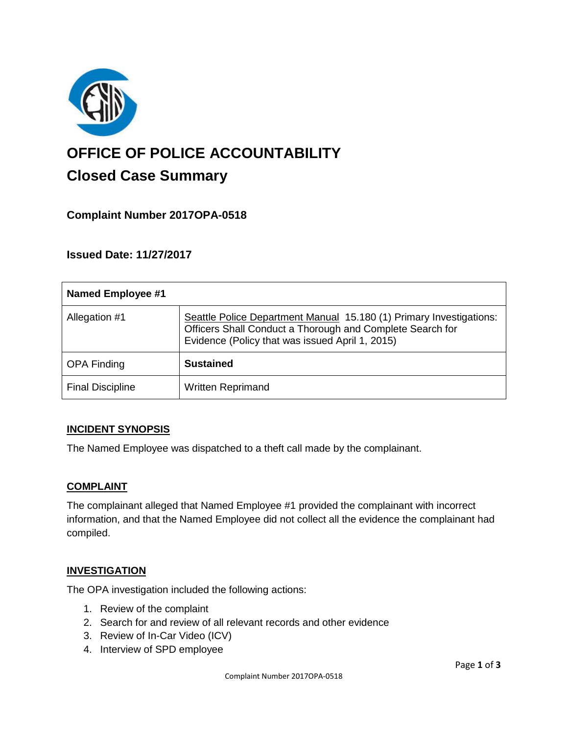

# **OFFICE OF POLICE ACCOUNTABILITY**

# **Closed Case Summary**

## **Complaint Number 2017OPA-0518**

### **Issued Date: 11/27/2017**

| Named Employee #1       |                                                                                                                                                                                     |
|-------------------------|-------------------------------------------------------------------------------------------------------------------------------------------------------------------------------------|
| Allegation #1           | Seattle Police Department Manual 15.180 (1) Primary Investigations:<br>Officers Shall Conduct a Thorough and Complete Search for<br>Evidence (Policy that was issued April 1, 2015) |
| <b>OPA Finding</b>      | <b>Sustained</b>                                                                                                                                                                    |
| <b>Final Discipline</b> | <b>Written Reprimand</b>                                                                                                                                                            |

#### **INCIDENT SYNOPSIS**

The Named Employee was dispatched to a theft call made by the complainant.

#### **COMPLAINT**

The complainant alleged that Named Employee #1 provided the complainant with incorrect information, and that the Named Employee did not collect all the evidence the complainant had compiled.

#### **INVESTIGATION**

The OPA investigation included the following actions:

- 1. Review of the complaint
- 2. Search for and review of all relevant records and other evidence
- 3. Review of In-Car Video (ICV)
- 4. Interview of SPD employee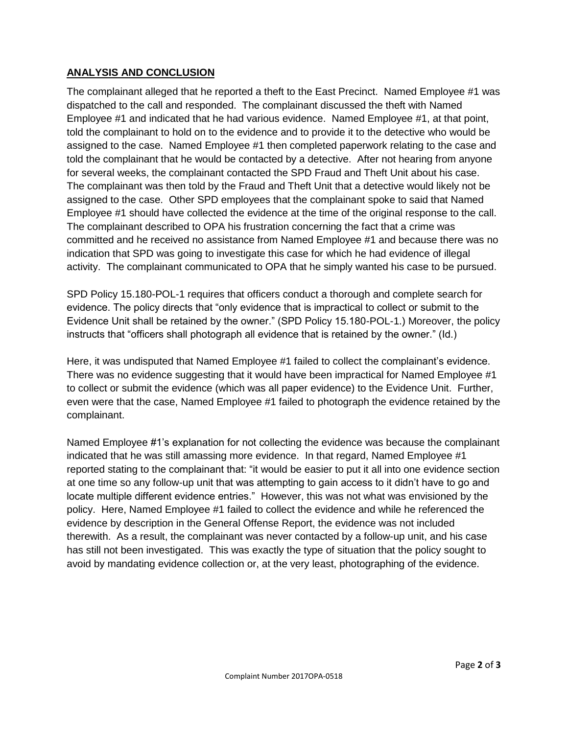#### **ANALYSIS AND CONCLUSION**

The complainant alleged that he reported a theft to the East Precinct. Named Employee #1 was dispatched to the call and responded. The complainant discussed the theft with Named Employee #1 and indicated that he had various evidence. Named Employee #1, at that point, told the complainant to hold on to the evidence and to provide it to the detective who would be assigned to the case. Named Employee #1 then completed paperwork relating to the case and told the complainant that he would be contacted by a detective. After not hearing from anyone for several weeks, the complainant contacted the SPD Fraud and Theft Unit about his case. The complainant was then told by the Fraud and Theft Unit that a detective would likely not be assigned to the case. Other SPD employees that the complainant spoke to said that Named Employee #1 should have collected the evidence at the time of the original response to the call. The complainant described to OPA his frustration concerning the fact that a crime was committed and he received no assistance from Named Employee #1 and because there was no indication that SPD was going to investigate this case for which he had evidence of illegal activity. The complainant communicated to OPA that he simply wanted his case to be pursued.

SPD Policy 15.180-POL-1 requires that officers conduct a thorough and complete search for evidence. The policy directs that "only evidence that is impractical to collect or submit to the Evidence Unit shall be retained by the owner." (SPD Policy 15.180-POL-1.) Moreover, the policy instructs that "officers shall photograph all evidence that is retained by the owner." (Id.)

Here, it was undisputed that Named Employee #1 failed to collect the complainant's evidence. There was no evidence suggesting that it would have been impractical for Named Employee #1 to collect or submit the evidence (which was all paper evidence) to the Evidence Unit. Further, even were that the case, Named Employee #1 failed to photograph the evidence retained by the complainant.

Named Employee #1's explanation for not collecting the evidence was because the complainant indicated that he was still amassing more evidence. In that regard, Named Employee #1 reported stating to the complainant that: "it would be easier to put it all into one evidence section at one time so any follow-up unit that was attempting to gain access to it didn't have to go and locate multiple different evidence entries." However, this was not what was envisioned by the policy. Here, Named Employee #1 failed to collect the evidence and while he referenced the evidence by description in the General Offense Report, the evidence was not included therewith. As a result, the complainant was never contacted by a follow-up unit, and his case has still not been investigated. This was exactly the type of situation that the policy sought to avoid by mandating evidence collection or, at the very least, photographing of the evidence.